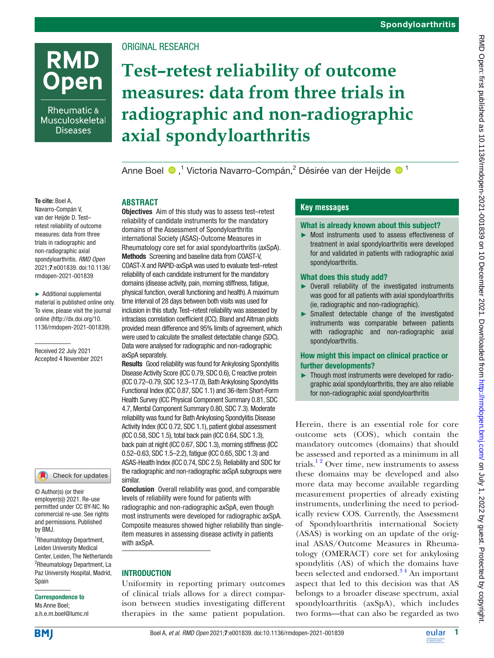

Rheumatic & Musculoskeletal **Diseases** 

# Original research

**Abstract**

# **Test–retest reliability of outcome measures: data from three trials in radiographic and non-radiographic axial spondyloarthritis**

AnneBoel <sup>®</sup>,<sup>1</sup> Victoria Navarro-Compán,<sup>2</sup> Désirée van der Heijde <sup>® 1</sup>

#### To cite: Boel A,

Navarro-Compán V, van der Heijde D. Test– retest reliability of outcome measures: data from three trials in radiographic and non-radiographic axial spondyloarthritis. *RMD Open* 2021;7:e001839. doi:10.1136/ rmdopen-2021-001839

► Additional supplemental material is published online only. To view, please visit the journal online ([http://dx.doi.org/10.](http://dx.doi.org/10.1136/rmdopen-2021-001839) [1136/rmdopen-2021-001839\)](http://dx.doi.org/10.1136/rmdopen-2021-001839).

Received 22 July 2021 Accepted 4 November 2021

#### Check for updates

© Author(s) (or their employer(s)) 2021. Re-use permitted under CC BY-NC. No commercial re-use. See rights and permissions. Published by BMJ.

1 Rheumatology Department, Leiden University Medical Center, Leiden, The Netherlands 2 Rheumatology Department, La Paz University Hospital, Madrid, Spain

#### Correspondence to

Ms Anne Boel; a.h.e.m.boel@lumc.nl

Objectives Aim of this study was to assess test–retest reliability of candidate instruments for the mandatory domains of the Assessment of Spondyloarthritis international Society (ASAS)-Outcome Measures in Rheumatology core set for axial spondyloarthritis (axSpA). Methods Screening and baseline data from COAST-V, COAST-X and RAPID-axSpA was used to evaluate test–retest reliability of each candidate instrument for the mandatory domains (disease activity, pain, morning stiffness, fatigue, physical function, overall functioning and health). A maximum time interval of 28 days between both visits was used for inclusion in this study. Test–retest reliability was assessed by intraclass correlation coefficient (ICC). Bland and Altman plots provided mean difference and 95% limits of agreement, which were used to calculate the smallest detectable change (SDC). Data were analysed for radiographic and non-radiographic axSpA separately.

Results Good reliability was found for Ankylosing Spondylitis Disease Activity Score (ICC 0.79, SDC 0.6), C reactive protein (ICC 0.72–0.79, SDC 12.3–17.0), Bath Ankylosing Spondylitis Functional Index (ICC 0.87, SDC 1.1) and 36-item Short-Form Health Survey (ICC Physical Component Summary 0.81, SDC 4.7, Mental Component Summary 0.80, SDC 7.3). Moderate reliability was found for Bath Ankylosing Spondylitis Disease Activity Index (ICC 0.72, SDC 1.1), patient global assessment (ICC 0.58, SDC 1.5), total back pain (ICC 0.64, SDC 1.3), back pain at night (ICC 0.67, SDC 1.3), morning stiffness (ICC 0.52–0.63, SDC 1.5–2.2), fatigue (ICC 0.65, SDC 1.3) and ASAS-Health Index (ICC 0.74, SDC 2.5). Reliability and SDC for the radiographic and non-radiographic axSpA subgroups were similar.

Conclusion Overall reliability was good, and comparable levels of reliability were found for patients with radiographic and non-radiographic axSpA, even though most instruments were developed for radiographic axSpA. Composite measures showed higher reliability than singleitem measures in assessing disease activity in patients with axSpA.

#### **INTRODUCTION**

Uniformity in reporting primary outcomes of clinical trials allows for a direct comparison between studies investigating different therapies in the same patient population.

### **Key messages**

#### What is already known about this subject?

► Most instruments used to assess effectiveness of treatment in axial spondyloarthritis were developed for and validated in patients with radiographic axial spondyloarthritis.

#### What does this study add?

- ► Overall reliability of the investigated instruments was good for all patients with axial spondyloarthritis (ie, radiographic and non-radiographic).
- ► Smallest detectable change of the investigated instruments was comparable between patients with radiographic and non-radiographic axial spondyloarthritis.

#### How might this impact on clinical practice or further developments?

► Though most instruments were developed for radiographic axial spondyloarthritis, they are also reliable for non-radiographic axial spondyloarthritis

Herein, there is an essential role for core outcome sets (COS), which contain the mandatory outcomes (domains) that should be assessed and reported as a minimum in all trials.<sup>12</sup> Over time, new instruments to assess these domains may be developed and also more data may become available regarding measurement properties of already existing instruments, underlining the need to periodically review COS. Currently, the Assessment of Spondyloarthritis international Society (ASAS) is working on an update of the original ASAS/Outcome Measures in Rheumatology (OMERACT) core set for ankylosing spondylitis (AS) of which the domains have been selected and endorsed. $3<sup>4</sup>$  An important aspect that led to this decision was that AS belongs to a broader disease spectrum, axial spondyloarthritis (axSpA), which includes two forms—that can also be regarded as two

**BMI**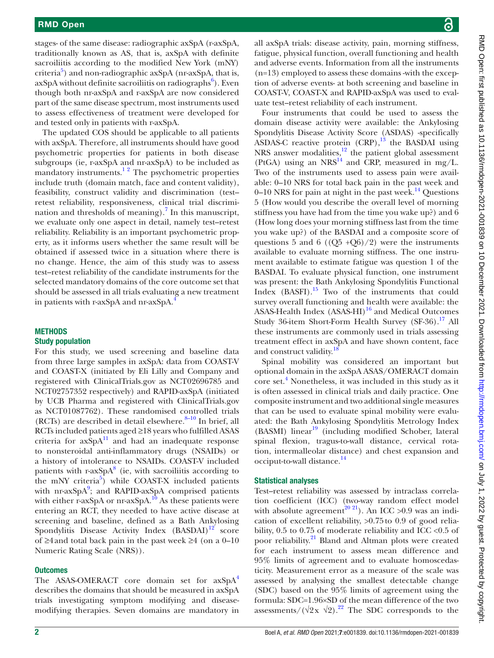stages- of the same disease: radiographic axSpA (r-axSpA, traditionally known as AS, that is, axSpA with definite sacroiliitis according to the modified New York (mNY) criteria<sup>5</sup>) and non-radiographic axSpA (nr-axSpA, that is, axSpA without definite sacroiliitis on radiographs<sup>[6](#page-8-3)</sup>). Even though both nr-axSpA and r-axSpA are now considered part of the same disease spectrum, most instruments used to assess effectiveness of treatment were developed for and tested only in patients with r-axSpA.

The updated COS should be applicable to all patients with axSpA. Therefore, all instruments should have good psychometric properties for patients in both disease subgroups (ie, r-axSpA and nr-axSpA) to be included as mandatory instruments. $1^2$  The psychometric properties include truth (domain match, face and content validity), feasibility, construct validity and discrimination (test– retest reliability, responsiveness, clinical trial discrimi-nation and thresholds of meaning).<sup>[7](#page-8-4)</sup> In this manuscript, we evaluate only one aspect in detail, namely test–retest reliability. Reliability is an important psychometric property, as it informs users whether the same result will be obtained if assessed twice in a situation where there is no change. Hence, the aim of this study was to assess test–retest reliability of the candidate instruments for the selected mandatory domains of the core outcome set that should be assessed in all trials evaluating a new treatment in patients with r-axSpA and nr-axSpA.<sup>4</sup>

# **METHODS**

#### Study population

For this study, we used screening and baseline data from three large samples in axSpA: data from COAST-V and COAST-X (initiated by Eli Lilly and Company and registered with ClinicalTrials.gov as NCT02696785 and NCT02757352 respectively) and RAPID-axSpA (initiated by UCB Pharma and registered with ClinicalTrials.gov as NCT01087762). These randomised controlled trials (RCTs) are described in detail elsewhere. $8-10$  In brief, all RCTs included patients aged ≥18 years who fulfilled ASAS criteria for  $axSpA<sup>11</sup>$  and had an inadequate response to nonsteroidal anti-inflammatory drugs (NSAIDs) or a history of intolerance to NSAIDs. COAST-V included patients with  $r$ -ax $SpA<sup>8</sup>$  (ie, with sacroiliitis according to the mNY criteria<sup>[5](#page-8-2)</sup>) while COAST-X included patients with nr-axSpA<sup>9</sup>; and RAPID-axSpA comprised patients with either r-axSpA or nr-axSpA. $^{10}$  As these patients were entering an RCT, they needed to have active disease at screening and baseline, defined as a Bath Ankylosing Spondylitis Disease Activity Index  $(BASDAI)^{12}$  score of ≥4 and total back pain in the past week ≥4 (on a 0–10 Numeric Rating Scale (NRS)).

#### **Outcomes**

The ASAS-OMERACT core domain set for  $axSpA<sup>4</sup>$  $axSpA<sup>4</sup>$  $axSpA<sup>4</sup>$ describes the domains that should be measured in axSpA trials investigating symptom modifying and diseasemodifying therapies. Seven domains are mandatory in all axSpA trials: disease activity, pain, morning stiffness, fatigue, physical function, overall functioning and health and adverse events. Information from all the instruments (n=13) employed to assess these domains -with the exception of adverse events- at both screening and baseline in COAST-V, COAST-X and RAPID-axSpA was used to evaluate test–retest reliability of each instrument.

Four instruments that could be used to assess the domain disease activity were available: the Ankylosing Spondylitis Disease Activity Score (ASDAS) -specifically ASDAS-C reactive protein  $(CRP)$ , <sup>[13](#page-8-11)</sup> the BASDAI using NRS answer modalities, $12$  the patient global assessment (PtGA) using an NRS<sup>[14](#page-8-12)</sup> and CRP, measured in mg/L. Two of the instruments used to assess pain were available: 0–10 NRS for total back pain in the past week and 0–10 NRS for pain at night in the past week. $^{14}$  Questions 5 (How would you describe the overall level of morning stiffness you have had from the time you wake up?) and 6 (How long does your morning stiffness last from the time you wake up?) of the BASDAI and a composite score of questions 5 and 6 ( $(Q5 + Q6)/2$ ) were the instruments available to evaluate morning stiffness. The one instrument available to estimate fatigue was question 1 of the BASDAI. To evaluate physical function, one instrument was present: the Bath Ankylosing Spondylitis Functional Index (BASFI).[15](#page-8-13) Two of the instruments that could survey overall functioning and health were available: the ASAS-Health Index  $(ASAS-HI)^{16}$  $(ASAS-HI)^{16}$  $(ASAS-HI)^{16}$  and Medical Outcomes Study 36-item Short-Form Health Survey (SF-36).<sup>17</sup> All these instruments are commonly used in trials assessing treatment effect in axSpA and have shown content, face and construct validity.<sup>1</sup>

Spinal mobility was considered an important but optional domain in the axSpA ASAS/OMERACT domain core set.<sup>[4](#page-8-5)</sup> Nonetheless, it was included in this study as it is often assessed in clinical trials and daily practice. One composite instrument and two additional single measures that can be used to evaluate spinal mobility were evaluated: the Bath Ankylosing Spondylitis Metrology Index  $(BASMI)$  linear<sup>19</sup> (including modified Schober, lateral spinal flexion, tragus-to-wall distance, cervical rotation, intermalleolar distance) and chest expansion and occiput-to-wall distance.<sup>[14](#page-8-12)</sup>

#### Statistical analyses

Test–retest reliability was assessed by intraclass correlation coefficient (ICC) (two-way random effect model with absolute agreement<sup>20 21</sup>). An ICC >0.9 was an indication of excellent reliability, >0.75to 0.9 of good reliability, 0.5 to 0.75 of moderate reliability and ICC <0.5 of poor reliability.<sup>[21](#page-9-0)</sup> Bland and Altman plots were created for each instrument to assess mean difference and 95% limits of agreement and to evaluate homoscedasticity. Measurement error as a measure of the scale was assessed by analysing the smallest detectable change (SDC) based on the 95% limits of agreement using the formula: SDC=1.96×SD of the mean difference of the two assessments/ $(\sqrt{2}x \sqrt{2})$ .<sup>[22](#page-9-1)</sup> The SDC corresponds to the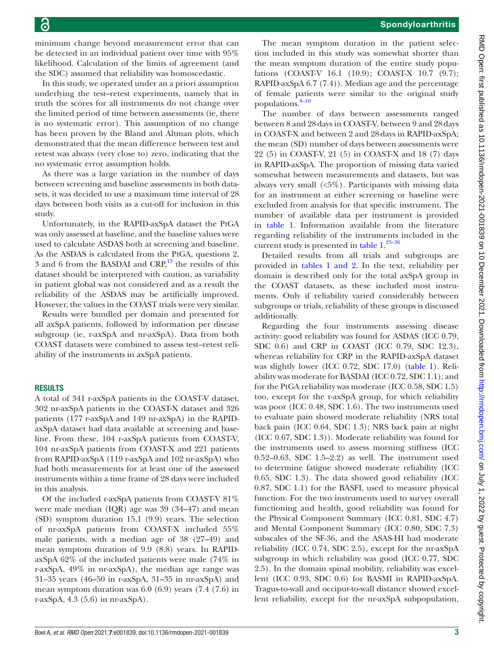minimum change beyond measurement error that can be detected in an individual patient over time with 95% likelihood. Calculation of the limits of agreement (and the SDC) assumed that reliability was homoscedastic.

In this study, we operated under an a priori assumption underlying the test–retest experiments, namely that in truth the scores for all instruments do not change over the limited period of time between assessments (ie, there is no systematic error). This assumption of no change has been proven by the Bland and Altman plots, which demonstrated that the mean difference between test and retest was always (very close to) zero, indicating that the no systematic error assumption holds.

As there was a large variation in the number of days between screening and baseline assessments in both datasets, it was decided to use a maximum time interval of 28 days between both visits as a cut-off for inclusion in this study.

Unfortunately, in the RAPID-axSpA dataset the PtGA was only assessed at baseline, and the baseline values were used to calculate ASDAS both at screening and baseline. As the ASDAS is calculated from the PtGA, questions 2, 3 and 6 from the BASDAI and  $CRP<sub>13</sub><sup>13</sup>$  the results of this dataset should be interpreted with caution, as variability in patient global was not considered and as a result the reliability of the ASDAS may be artificially improved. However, the values in the COAST trials were very similar.

Results were bundled per domain and presented for all axSpA patients, followed by information per disease subgroup (ie, r-axSpA and nr-axSpA). Data from both COAST datasets were combined to assess test–retest reliability of the instruments in axSpA patients.

#### **RESULTS**

A total of 341 r-axSpA patients in the COAST-V dataset, 302 nr-axSpA patients in the COAST-X dataset and 326 patients (177 r-axSpA and 149 nr-axSpA) in the RAPIDaxSpA dataset had data available at screening and baseline. From these, 104 r-axSpA patients from COAST-V, 104 nr-axSpA patients from COAST-X and 221 patients from RAPID-axSpA (119 r-axSpA and 102 nr-axSpA) who had both measurements for at least one of the assessed instruments within a time frame of 28 days were included in this analysis.

Of the included r-axSpA patients from COAST-V 81% were male median (IQR) age was 39 (34–47) and mean (SD) symptom duration 15.1 (9.9) years. The selection of nr-axSpA patients from COAST-X included 55% male patients, with a median age of 38 (27–49) and mean symptom duration of 9.9 (8.8) years. In RAPIDaxSpA 62% of the included patients were male (74% in r-axSpA, 49% in nr-axSpA), the median age range was 31–35 years (46–50 in r-axSpA, 31–35 in nr-axSpA) and mean symptom duration was 6.0 (6.9) years (7.4 (7.6) in r-axSpA, 4.3 (5.6) in nr-axSpA).

The mean symptom duration in the patient selection included in this study was somewhat shorter than the mean symptom duration of the entire study populations (COAST-V 16.1 (10.9); COAST-X 10.7 (9.7); RAPID-axSpA 6.7 (7.4)). Median age and the percentage of female patients were similar to the original study populations.<sup>8-10</sup>

The number of days between assessments ranged between 8 and 28days in COAST-V, between 9 and 28days in COAST-X and between 2 and 28days in RAPID-axSpA; the mean (SD) number of days between assessments were 22 (5) in COAST-V, 21 (5) in COAST-X and 18 (7) days in RAPID-axSpA. The proportion of missing data varied somewhat between measurements and datasets, but was always very small (<5%). Participants with missing data for an instrument at either screening or baseline were excluded from analysis for that specific instrument. The number of available data per instrument is provided in [table](#page-3-0) 1. Information available from the literature regarding reliability of the instruments included in the current study is presented in [table](#page-3-0)  $1.^{23-36}$ 

Detailed results from all trials and subgroups are provided in tables [1 and 2](#page-3-0). In the text, reliability per domain is described only for the total axSpA group in the COAST datasets, as these included most instruments. Only if reliability varied considerably between subgroups or trials, reliability of these groups is discussed additionally.

Regarding the four instruments assessing disease activity: good reliability was found for ASDAS (ICC 0.79, SDC 0.6) and CRP in COAST (ICC 0.79, SDC 12.3), whereas reliability for CRP in the RAPID-axSpA dataset was slightly lower (ICC 0.72, SDC 17.0) [\(table](#page-3-0) 1). Reliability was moderate for BASDAI (ICC 0.72, SDC 1.1); and for the PtGA reliability was moderate (ICC 0.58, SDC 1.5) too, except for the r-axSpA group, for which reliability was poor (ICC 0.48, SDC 1.6). The two instruments used to evaluate pain showed moderate reliability (NRS total back pain (ICC 0.64, SDC 1.3); NRS back pain at night (ICC 0.67, SDC 1.3)). Moderate reliability was found for the instruments used to assess morning stiffness (ICC 0.52–0.63, SDC 1.5–2.2) as well. The instrument used to determine fatigue showed moderate reliability (ICC 0.65, SDC 1.3). The data showed good reliability (ICC 0.87, SDC 1.1) for the BASFI, used to measure physical function. For the two instruments used to survey overall functioning and health, good reliability was found for the Physical Component Summary (ICC 0.81, SDC 4.7) and Mental Component Summary (ICC 0.80, SDC 7.3) subscales of the SF-36, and the ASAS-HI had moderate reliability (ICC 0.74, SDC 2.5), except for the nr-axSpA subgroup in which reliability was good (ICC 0.77, SDC 2.5). In the domain spinal mobility, reliability was excellent (ICC 0.93, SDC 0.6) for BASMI in RAPID-axSpA. Tragus-to-wall and occiput-to-wall distance showed excellent reliability, except for the nr-axSpA subpopulation,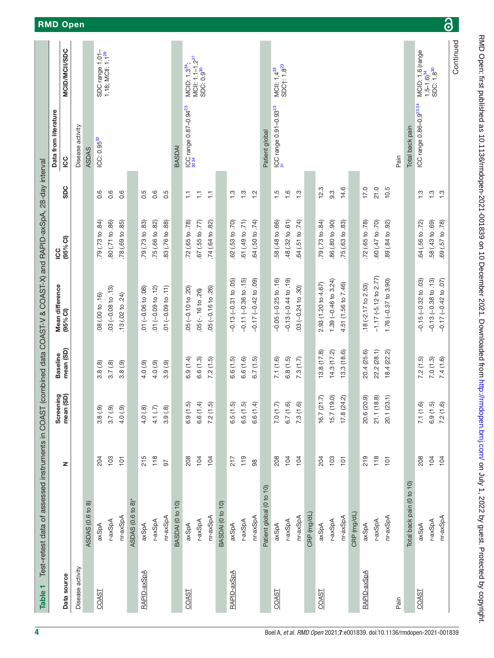<span id="page-3-0"></span>

| Table 1          | Test-retest data of assessed instruments in COAST |                |                        |                 | (combined data COAST-V & COAST-X) and RAPID-axSpA, 28-day interval |                             |                  |                                            |                                                                      |
|------------------|---------------------------------------------------|----------------|------------------------|-----------------|--------------------------------------------------------------------|-----------------------------|------------------|--------------------------------------------|----------------------------------------------------------------------|
|                  |                                                   |                |                        | <b>Baseline</b> | Mean difference                                                    | <b>DOI</b>                  |                  | Data from literature                       |                                                                      |
| Data source      |                                                   | z              | Screening<br>mean (SD) | mean (SD)       | (95% <sub>CI</sub> )                                               | $(95%$ CI)                  | <b>SDC</b>       | <b>SC</b>                                  | <b>MCID/MCII/SDC</b>                                                 |
| Disease activity |                                                   |                |                        |                 |                                                                    |                             |                  | Disease activity                           |                                                                      |
|                  | ASDAS (0.6 to 8)                                  |                |                        |                 |                                                                    |                             |                  | <b>ASDAS</b>                               |                                                                      |
| COAST            | axSpA                                             | 204            | 3.8(.9)                | 3.8(.8)         | 08 (.00 to .16)                                                    | 79 (.73 to .84)             | 0.6              | ICC: 0.95 <sup>32</sup>                    | SDC range 1.01-                                                      |
|                  | r-axSpA                                           | 103            | 3.7(9)                 | 3.7(8)          | $.03(-0.08 to .13)$                                                | 80 (.71 to .86)             | 0.6              |                                            | $1.18$ ; MCII: $1.1^{29}$                                            |
|                  | nr-axSpA                                          | $\overline{P}$ | 4.0(9)                 | 3.8(.9)         | .13(02 to .24)                                                     | 78 (.69 to .85)             | 0.6              |                                            |                                                                      |
|                  | ASDAS (0.6 to 8)*                                 |                |                        |                 |                                                                    |                             |                  |                                            |                                                                      |
| RAPID-axSpA      | axSpA                                             | 215            | 4.0(8)                 | 4.0(9)          | $01 (-0.06 to .08)$                                                | 79 (.73 to .83)             | $0.\overline{5}$ |                                            |                                                                      |
|                  | r-axSpA                                           | $118$          | 4.1(7)                 | 4.0(9)          | $.01 (-0.09 to .12)$                                               | .75 (.66 to .82)            | 0.6              |                                            |                                                                      |
|                  | nr-axSpA                                          | 57             | 3.9(.8)                | 3.9(.9)         | $.01 (-0.09 to .11)$                                               | 83 (.76 to .88)             | 0.5              |                                            |                                                                      |
|                  | BASDAI (0 to 10)                                  |                |                        |                 |                                                                    |                             |                  | BASDA                                      |                                                                      |
| COAST            | axSpA                                             | 208            | 6.9(1.5)               | 6.9(1.4)        | $.05(-0.10 to .20)$                                                | 72 (.65 to .78)             | Ξ                | ICC range 0.87-0.94 <sup>23</sup><br>30 34 | MCID: 1.3 <sup>34</sup> ;                                            |
|                  | r-axSpA                                           | 104            | 6.6(1.4)               | 6.6(1.3)        | $.05$ ( $-16$ to $.26$ )                                           | .67 (.55 to .77)            | 들                |                                            | MCII: 1.1-1.2 <sup>27</sup><br>SDC: 0.9 <sup>30</sup>                |
|                  | nr-axSpA                                          | 104            | 7.2(1.5)               | 7.2(1.5)        | $.05 (-0.16 to .26)$                                               | $.74(0.64 \text{ to } .82)$ | Ξ                |                                            |                                                                      |
|                  | BASDAI (0 to 10)                                  |                |                        |                 |                                                                    |                             |                  |                                            |                                                                      |
| RAPID-axSpA      | axSpA                                             | 217            | 6.5(1.5)               | 6.6(1.5)        | $-0.13(-0.31 to .05)$                                              | 62 (.53 to .70)             | $\frac{3}{1}$    |                                            |                                                                      |
|                  | r-axSpA                                           | $119$          | 6.5(1.5)               | 6.6(1.6)        | $-0.11 (-0.36 to .15)$                                             | .61 (.49 to .71)            | $\ddot{ }$ :     |                                            |                                                                      |
|                  | nr-axSpA                                          | 88             | 6.6(1.4)               | 6.7(1.5)        | $-0.17 (-0.42 to .09)$                                             | .64 (.50 to .74)            | $\frac{1}{2}$    |                                            |                                                                      |
|                  | Patient global (0 to 10)                          |                |                        |                 |                                                                    |                             |                  | Patient global                             |                                                                      |
| COAST            | axSpA                                             | 208            | 7.0(1.7)               | 7.1(1.6)        | $-0.05$ $(-0.25$ to $.16)$                                         | 58 (.48 to .66)             | $\ddot{5}$       | ICC range 0.91-0.93 <sup>23</sup>          | MCII: 1.4 <sup>33</sup><br>SDC†: 1.8 <sup>23</sup>                   |
|                  | r-axSpA                                           | 104            | 6.7(1.6)               | 6.8(1.5)        | $-0.13(-0.44 to .19)$                                              | 48 (.32 to .61)             | 1.6              |                                            |                                                                      |
|                  | nr-axSpA                                          | 104            | 7.3(1.6)               | 7.3(1.7)        | $.03(-0.24 to .30)$                                                | 64 (.51 to .74)             | $\ddot{.}$       |                                            |                                                                      |
|                  | CRP (mg/dL)                                       |                |                        |                 |                                                                    |                             |                  |                                            |                                                                      |
| COAST            | axSpA                                             | 204            | 16.7(21.7)             | 13.8(17.8)      | 2.93 (1.20 to 4.67)                                                | 79 (.73 to .84)             | 12.3             |                                            |                                                                      |
|                  | r-axSpA                                           | 103            | 15.7(19.0)             | 14.3(17.2)      | 1.39 $(-0.46$ to 3.24)                                             | 86 (.80 to .90)             | $9.\overline{3}$ |                                            |                                                                      |
|                  | nr-axSpA                                          | 101            | 17.8(24.2)             | 13.3(18.6)      | 4.51 (1.56 to 7.46)                                                | .75 (.63 to .83)            | 14.6             |                                            |                                                                      |
|                  | CRP (mg/dL)                                       |                |                        |                 |                                                                    |                             |                  |                                            |                                                                      |
| RAPID-axSpA      | axSpA                                             | 219            | 20.6 (20.9)            | 20.4 (25.6)     | $.18 (-2.17 to 2.53)$                                              | 72 (.65 to .78)             | 17.0             |                                            |                                                                      |
|                  | r-axSpA                                           | $118$          | 21.1(18.8)             | 22.2 (28.1)     | $-1.17$ ( $-5.12$ to 2.77)                                         | 60 (.47 to .70)             | 21.0             |                                            |                                                                      |
|                  | nr-axSpA                                          | 101            | 20.1 (23.1)            | 18.4 (22.2)     | 1.76 $(-0.37)$ to 3.90)                                            | 89 (.84 to .92)             | 10.5             |                                            |                                                                      |
| Pain             |                                                   |                |                        |                 |                                                                    |                             |                  | Pain                                       |                                                                      |
|                  | Total back pain (0 to 10)                         |                |                        |                 |                                                                    |                             |                  | Total back pain                            |                                                                      |
| COAST            | axSpA                                             | 208            | 7.1(1.6)               | 7.2(1.5)        | $-0.15(-0.32 to .03)$                                              | 64 (.56 to .72)             | $\frac{3}{1}$    | ICC range 0.86-0.9 <sup>23 34</sup>        | MCID: 1.6 (range<br>1.5–1.6) <sup>34</sup><br>SDC: 1.8 <sup>30</sup> |
|                  | r-axSpA                                           | 104            | 6.9(1.5)               | 7.0(1.3)        | $-0.13(-0.38 to .13)$                                              | 58 (.43 to .69)             | $\frac{3}{1}$    |                                            |                                                                      |
|                  | nr-axSpA                                          | 104            | 7.2(1.6)               | 7.4(1.6)        | $-0.17$ $(-0.42$ to $.07)$                                         | $(8)$ .<br>69 (.57 to       | $\frac{3}{1}$    |                                            |                                                                      |
|                  |                                                   |                |                        |                 |                                                                    |                             |                  |                                            | Continued                                                            |

 $\delta$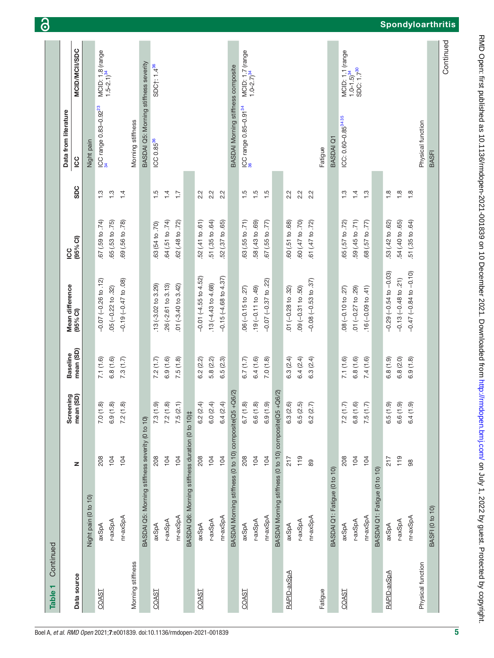| Continued<br>Table <sub>1</sub> |                                                        |     |                        |                 |                              |                        |                                 |                                       |                                                                      |
|---------------------------------|--------------------------------------------------------|-----|------------------------|-----------------|------------------------------|------------------------|---------------------------------|---------------------------------------|----------------------------------------------------------------------|
|                                 |                                                        |     | Screening<br>mean (SD) | <b>Baseline</b> | Mean difference<br>(95% CI)  | <b>SC</b>              |                                 | Data from literature                  |                                                                      |
| Data source                     |                                                        | z   |                        | mean (SD)       |                              | (95% <sub>CI</sub> )   | <b>SDC</b>                      | <u>co</u>                             | <b>MCID/MCII/SDC</b>                                                 |
|                                 | Night pain (0 to 10)                                   |     |                        |                 |                              |                        |                                 | Night pain                            |                                                                      |
| COAST                           | axSpA                                                  | 208 | 7.0(1.8)               | 7.1(1.6)        | $-0.07$ $(-0.26$ to $.12)$   | 67 (.59 to .74)        | 1.3                             | ICC range 0.83-0.92 <sup>23</sup>     | MCID: 1.8 (range<br>1.5–2.1) <sup>34</sup>                           |
|                                 | r-axSpA                                                | 104 | 6.9(1.8)               | 6.8(1.6)        | $.05 (-0.22 to .32)$         | .65 (.53 to .75)       | $\frac{3}{1}$                   |                                       |                                                                      |
|                                 | nr-axSpA                                               | 104 | 7.2(1.8)               | 7.3(1.7)        | $-0.19(-0.47 to .08)$        | .69 (.56 to .78)       | 1.4                             |                                       |                                                                      |
| Morning stiffness               |                                                        |     |                        |                 |                              |                        |                                 | Morning stiffness                     |                                                                      |
|                                 | BASDAI Q5: Morning stiffness severity (0 to 10)        |     |                        |                 |                              |                        |                                 | BASDAI Q5: Morning stiffness severity |                                                                      |
| COAST                           | axSpA                                                  | 208 | 7.3(1.9)               | 7.2(1.7)        | $.13 (-3.02 to 3.29)$        | 63 (54 to .70)         | 1.5                             | ICC 0.85 <sup>36</sup>                | SDC†: 1.4 <sup>36</sup>                                              |
|                                 | r-axSpA                                                | 104 | 7.2(1.8)               | 6.9(1.6)        | $26(-2.61$ to $3.13)$        | .64 (.51 to .74)       | 1.4                             |                                       |                                                                      |
|                                 | nr-axSpA                                               | 104 | 7.5(2.1)               | 7.5(1.8)        | $.01 (-3.40 to 3.42)$        | .62 (.48 to .72)       | $\overline{1}\cdot\overline{7}$ |                                       |                                                                      |
|                                 | BASDAI Q6: Morning stiffness duration (0 to 10)‡       |     |                        |                 |                              |                        |                                 |                                       |                                                                      |
| COAST                           | axSpA                                                  | 208 | 6.2(2.4)               | 6.2(2.2)        | $-0.01$ $(-4.55$ to $4.52)$  | .52 (.41 to .61)       | 2.2                             |                                       |                                                                      |
|                                 | r-axSpA                                                | 104 | 6.0(2.4)               | 5.8(2.2)        | $.13(-4.43 to 4.68)$         | $.51$ $(.35$ to $.64)$ | 2.2                             |                                       |                                                                      |
|                                 | nr-axSpA                                               | 104 | 6.4(2.4)               | 6.5(2.3)        | $-0.15(-4.68 to 4.37)$       | .52 (.37 to .65)       | 2.2                             |                                       |                                                                      |
|                                 | BASDAI Morning stiffness (0 to 10) composite(Q5 +Q6/2) |     |                        |                 |                              |                        |                                 | BASDAI Morning stiffness composite    |                                                                      |
| COAST                           | axSpA                                                  | 208 | 6.7(1.8)               | 6.7(1.7)        | $.06 (-0.15 to .27)$         | 63 (.55 to .71)        | $\ddot{5}$                      | ICC range 0.85-0.91 <sup>34</sup>     | MCID: 1.7 (range<br>1.0-2.7) <sup>34</sup>                           |
|                                 | r-axSpA                                                | 104 | 6.6(1.8)               | 6.4(1.6)        | $.19(-0.11 to .49)$          | 58 (.43 to .69)        | $\ddot{5}$                      |                                       |                                                                      |
|                                 | nr-axSpA                                               | 104 | 6.9(1.9)               | 7.0(1.8)        | $-0.07$ $(-0.37$ to $.22)$   | 67 (.55 to .77)        | 1.5                             |                                       |                                                                      |
|                                 | BASDAI Morning stiffness (0 to 10) composite(Q5 +Q6/2) |     |                        |                 |                              |                        |                                 |                                       |                                                                      |
| RAPID-axSpA                     | axSpA                                                  | 217 | 6.3(2.6)               | 6.3(2.4)        | .01 $(-0.28$ to $.32)$       | 60 (.51 to .68)        | 2.2                             |                                       |                                                                      |
|                                 | r-axSpA                                                | 119 | 6.5(2.5)               | 6.4(2.4)        | $.09 (-0.31 to .50)$         | .60 (.47 to .70)       | 2.2                             |                                       |                                                                      |
|                                 | nr-axSpA                                               | 89  | 6.2 (2.7)              | 6.3(2.4)        | $-0.08 (-0.53 to .37)$       | .61 (.47 to .72)       | 2.2                             |                                       |                                                                      |
| Fatigue                         |                                                        |     |                        |                 |                              |                        |                                 | Fatigue                               |                                                                      |
|                                 | BASDAI Q1: Fatigue (0 to 10)                           |     |                        |                 |                              |                        |                                 | <b>BASDAI Q1</b>                      |                                                                      |
| COAST                           | axSpA                                                  | 208 | 7.2(1.7)               | 7.1(1.6)        | $.08 (-0.10 to .27)$         | 65 (.57 to .72)        | $\frac{3}{1}$                   | ICC: 0.60-0.85 <sup>34 35</sup>       |                                                                      |
|                                 | r-axSpA                                                | 104 | 6.8(1.6)               | 6.8(1.6)        | $.01 (-0.27 to .29)$         | 59 (.45 to .71)        | $1\overline{4}$                 |                                       | MCID: 1.1 (range<br>1.0–1.5) <sup>34</sup><br>SDC: 1.7 <sup>30</sup> |
|                                 | nr-axSpA                                               | 104 | 7.5(1.7)               | 7.4(1.6)        | $.16 (-0.09 to .41)$         | 68 (.57 to .77)        | $\frac{3}{2}$                   |                                       |                                                                      |
|                                 | BASDAI Q1: Fatigue (0 to 10)                           |     |                        |                 |                              |                        |                                 |                                       |                                                                      |
| RAPID-axSpA                     | axSpA                                                  | 217 | 6.5(1.9)               | 6.8(1.9)        | $-0.29(-0.54 to -0.03)$      | .53 (.42 to .62)       | $\frac{8}{1}$                   |                                       |                                                                      |
|                                 | r-axSpA                                                | 119 | 6.6(1.9)               | 6.8(2.0)        | $-0.13(-0.48$ to $.21)$      | 54 (.40 to .65)        | $\frac{8}{1}$                   |                                       |                                                                      |
|                                 | nr-axSpA                                               | 98  | 6.4(1.9)               | 6.9(1.8)        | $-0.47$ $(-0.84$ to $-0.10)$ | .51 (.35 to .64)       | 1.8                             |                                       |                                                                      |
| Physical function               |                                                        |     |                        |                 |                              |                        |                                 | Physical function                     |                                                                      |
|                                 | BASFI (0 to 10)                                        |     |                        |                 |                              |                        |                                 | <b>BASFI</b>                          |                                                                      |
|                                 |                                                        |     |                        |                 |                              |                        |                                 |                                       | Continued                                                            |

RMD Open: first published as 10.1136/rmdopen-2021-001839 on 10 December 2021. Downloaded from http://rmdopen.bmj.com/ on July 1, 2022 by guest. Protected by copyright. on July 1, 2022 by guest. Protected by copyright. <http://rmdopen.bmj.com/> RMD Open: first published as 10.1136/rmdopen-2021-001839 on 10 December 2021. Downloaded from

# **Spondyloarthritis**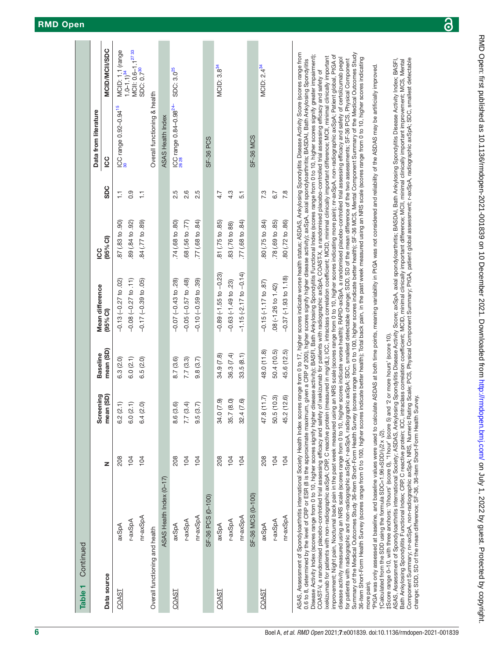| Continued<br>Table <sub>1</sub> |                                                                                                                                                                                                                                                                                                                                                                                                                                                                                                                                                                                                                                                                                                                                                                                                                                                                                                                                                                                                                                                                                                                                                                                                                                                                                                                                                                                                                                                                                                                                                                                                                                                                                                                                                                                                                                                                                                                                                          |     |                |                 |                                                                                                                                                                                                                                                                                      |                   |                  |                                    |                                            |
|---------------------------------|----------------------------------------------------------------------------------------------------------------------------------------------------------------------------------------------------------------------------------------------------------------------------------------------------------------------------------------------------------------------------------------------------------------------------------------------------------------------------------------------------------------------------------------------------------------------------------------------------------------------------------------------------------------------------------------------------------------------------------------------------------------------------------------------------------------------------------------------------------------------------------------------------------------------------------------------------------------------------------------------------------------------------------------------------------------------------------------------------------------------------------------------------------------------------------------------------------------------------------------------------------------------------------------------------------------------------------------------------------------------------------------------------------------------------------------------------------------------------------------------------------------------------------------------------------------------------------------------------------------------------------------------------------------------------------------------------------------------------------------------------------------------------------------------------------------------------------------------------------------------------------------------------------------------------------------------------------|-----|----------------|-----------------|--------------------------------------------------------------------------------------------------------------------------------------------------------------------------------------------------------------------------------------------------------------------------------------|-------------------|------------------|------------------------------------|--------------------------------------------|
|                                 |                                                                                                                                                                                                                                                                                                                                                                                                                                                                                                                                                                                                                                                                                                                                                                                                                                                                                                                                                                                                                                                                                                                                                                                                                                                                                                                                                                                                                                                                                                                                                                                                                                                                                                                                                                                                                                                                                                                                                          |     | Screening      | <b>Baseline</b> | Mean difference                                                                                                                                                                                                                                                                      | Sc                |                  | Data from literature               |                                            |
| Data source                     |                                                                                                                                                                                                                                                                                                                                                                                                                                                                                                                                                                                                                                                                                                                                                                                                                                                                                                                                                                                                                                                                                                                                                                                                                                                                                                                                                                                                                                                                                                                                                                                                                                                                                                                                                                                                                                                                                                                                                          | z   | mean (SD)      | mean (SD)       | (95% CI)                                                                                                                                                                                                                                                                             | $(95%$ CI)        | SDC              | <u>co</u>                          | <b>MCID/MCII/SDC</b>                       |
| COAST                           | axSpA                                                                                                                                                                                                                                                                                                                                                                                                                                                                                                                                                                                                                                                                                                                                                                                                                                                                                                                                                                                                                                                                                                                                                                                                                                                                                                                                                                                                                                                                                                                                                                                                                                                                                                                                                                                                                                                                                                                                                    | 208 | 6.2(2.1)       | 6.3(2.0)        | $-0.13(-0.27$ to $.02)$                                                                                                                                                                                                                                                              | .87(0.83 to .90)  | H                | ICC range 0.92-0.94 <sup>15</sup>  | MCID: 1.1 (range<br>1.0-1.1) <sup>34</sup> |
|                                 | r-axSpA                                                                                                                                                                                                                                                                                                                                                                                                                                                                                                                                                                                                                                                                                                                                                                                                                                                                                                                                                                                                                                                                                                                                                                                                                                                                                                                                                                                                                                                                                                                                                                                                                                                                                                                                                                                                                                                                                                                                                  | 104 | 6.0(2.1)       | 6.0(2.1)        | $-0.08$ $(-0.27$ to $.11)$                                                                                                                                                                                                                                                           | 89 (.84 to .92)   | $0.\overline{9}$ |                                    | MCII: 0.6-1.1 <sup>2733</sup>              |
|                                 | nr-axSpA                                                                                                                                                                                                                                                                                                                                                                                                                                                                                                                                                                                                                                                                                                                                                                                                                                                                                                                                                                                                                                                                                                                                                                                                                                                                                                                                                                                                                                                                                                                                                                                                                                                                                                                                                                                                                                                                                                                                                 | 104 | 6.4(2.0)       | 6.5(2.0)        | $-0.17 (-0.39 to .05)$                                                                                                                                                                                                                                                               | .84 (.77 to .89)  | H                |                                    | SDC: 0.7 <sup>30</sup>                     |
| Overall functioning and health  |                                                                                                                                                                                                                                                                                                                                                                                                                                                                                                                                                                                                                                                                                                                                                                                                                                                                                                                                                                                                                                                                                                                                                                                                                                                                                                                                                                                                                                                                                                                                                                                                                                                                                                                                                                                                                                                                                                                                                          |     |                |                 |                                                                                                                                                                                                                                                                                      |                   |                  | Overall functioning & health       |                                            |
|                                 | ASAS Health Index (0-17)                                                                                                                                                                                                                                                                                                                                                                                                                                                                                                                                                                                                                                                                                                                                                                                                                                                                                                                                                                                                                                                                                                                                                                                                                                                                                                                                                                                                                                                                                                                                                                                                                                                                                                                                                                                                                                                                                                                                 |     |                |                 |                                                                                                                                                                                                                                                                                      |                   |                  | ASAS Health Index                  |                                            |
| COAST                           | axSpA                                                                                                                                                                                                                                                                                                                                                                                                                                                                                                                                                                                                                                                                                                                                                                                                                                                                                                                                                                                                                                                                                                                                                                                                                                                                                                                                                                                                                                                                                                                                                                                                                                                                                                                                                                                                                                                                                                                                                    | 208 | 8.6 (3.6)      | 8.7 (3.6)       | $-0.07$ $(-0.43$ to $.28$ )                                                                                                                                                                                                                                                          | .74(.68 to .80)   | 2.5              | ICC range 0.84-0.98 <sup>24-</sup> | SDC: 3.0 <sup>25</sup>                     |
|                                 | r-axSpA                                                                                                                                                                                                                                                                                                                                                                                                                                                                                                                                                                                                                                                                                                                                                                                                                                                                                                                                                                                                                                                                                                                                                                                                                                                                                                                                                                                                                                                                                                                                                                                                                                                                                                                                                                                                                                                                                                                                                  | 104 | 7.7(3.4)       | 7.7(3.3)        | $-0.05 (-0.57 to .48)$                                                                                                                                                                                                                                                               | .68 (.56 to .77)  | 2.6              |                                    |                                            |
|                                 | nr-axSpA                                                                                                                                                                                                                                                                                                                                                                                                                                                                                                                                                                                                                                                                                                                                                                                                                                                                                                                                                                                                                                                                                                                                                                                                                                                                                                                                                                                                                                                                                                                                                                                                                                                                                                                                                                                                                                                                                                                                                 | 104 | 9.5(3.7)       | 9.8(3.7)        | $-0.10 (-0.59 to .39)$                                                                                                                                                                                                                                                               | .77(0.88 to 0.84) | 2.5              |                                    |                                            |
|                                 | SF-36 PCS (0-100)                                                                                                                                                                                                                                                                                                                                                                                                                                                                                                                                                                                                                                                                                                                                                                                                                                                                                                                                                                                                                                                                                                                                                                                                                                                                                                                                                                                                                                                                                                                                                                                                                                                                                                                                                                                                                                                                                                                                        |     |                |                 |                                                                                                                                                                                                                                                                                      |                   |                  | SF-36 PCS                          |                                            |
| COAST                           | axSpA                                                                                                                                                                                                                                                                                                                                                                                                                                                                                                                                                                                                                                                                                                                                                                                                                                                                                                                                                                                                                                                                                                                                                                                                                                                                                                                                                                                                                                                                                                                                                                                                                                                                                                                                                                                                                                                                                                                                                    | 208 | (7.9)<br>34.0  | 34.9 (7.8)      | $-0.89(-1.55 to -0.23)$                                                                                                                                                                                                                                                              | .81(.75 to .85)   | 4.7              |                                    | MCID: 3.8 <sup>34</sup>                    |
|                                 | r-axSpA                                                                                                                                                                                                                                                                                                                                                                                                                                                                                                                                                                                                                                                                                                                                                                                                                                                                                                                                                                                                                                                                                                                                                                                                                                                                                                                                                                                                                                                                                                                                                                                                                                                                                                                                                                                                                                                                                                                                                  | 104 | (8.0)<br>35.7  | 36.3 (7.4)      | $-0.63(-1.49 to .23)$                                                                                                                                                                                                                                                                | .83 (.76 to 88)   | 4.3              |                                    |                                            |
|                                 | nr-axSpA                                                                                                                                                                                                                                                                                                                                                                                                                                                                                                                                                                                                                                                                                                                                                                                                                                                                                                                                                                                                                                                                                                                                                                                                                                                                                                                                                                                                                                                                                                                                                                                                                                                                                                                                                                                                                                                                                                                                                 | 104 | (7.6)<br>32.4  | 33.5(8.1)       | $-1.15(-2.17 to -0.14)$                                                                                                                                                                                                                                                              | .77 (.68 to .84)  | 5.1              |                                    |                                            |
|                                 | SF-36 MCS (0-100)                                                                                                                                                                                                                                                                                                                                                                                                                                                                                                                                                                                                                                                                                                                                                                                                                                                                                                                                                                                                                                                                                                                                                                                                                                                                                                                                                                                                                                                                                                                                                                                                                                                                                                                                                                                                                                                                                                                                        |     |                |                 |                                                                                                                                                                                                                                                                                      |                   |                  | <b>SF-36 MCS</b>                   |                                            |
| COAST                           | axSpA                                                                                                                                                                                                                                                                                                                                                                                                                                                                                                                                                                                                                                                                                                                                                                                                                                                                                                                                                                                                                                                                                                                                                                                                                                                                                                                                                                                                                                                                                                                                                                                                                                                                                                                                                                                                                                                                                                                                                    | 208 | (11.7)<br>47.8 | 48.0 (11.8)     | $-0.15(-1.17$ to $.87$ )                                                                                                                                                                                                                                                             | .80 (.75 to .84)  | 7.3              |                                    | MCID: 2.4 <sup>34</sup>                    |
|                                 | r-axSpA                                                                                                                                                                                                                                                                                                                                                                                                                                                                                                                                                                                                                                                                                                                                                                                                                                                                                                                                                                                                                                                                                                                                                                                                                                                                                                                                                                                                                                                                                                                                                                                                                                                                                                                                                                                                                                                                                                                                                  | 104 | 50.5 (10.3)    | 50.4 (10.5)     | 08 (-1.26 to 1.42)                                                                                                                                                                                                                                                                   | .78 (.69 to .85)  | 6.7              |                                    |                                            |
|                                 | nr-axSpA                                                                                                                                                                                                                                                                                                                                                                                                                                                                                                                                                                                                                                                                                                                                                                                                                                                                                                                                                                                                                                                                                                                                                                                                                                                                                                                                                                                                                                                                                                                                                                                                                                                                                                                                                                                                                                                                                                                                                 | 104 | (12.6)<br>45.2 | 45.6 (12.5)     | $-0.37$ ( $-1.93$ to $1.18$ )                                                                                                                                                                                                                                                        | 80 (.72 to .86)   | 7.8              |                                    |                                            |
|                                 | ASAS, Assessment of Spondyloarthritis international Society Health Index scores range from 0 to 17, higher scores indicate worse health status; ASDAS, Ankylosing Spondylitis Disease Activity Score (scores range from<br>Disease Activity Index (scores range from 0 to 10, higher scores signify higher disease activity); BASFI, Bath Ankylosing Spondylitis Functional Index (scores range from 0 to 10, higher scores signify greater impairment);<br>mprovement; Night pain, Nocturnal back pain in the past week measured using an NRS scale (scores range from 0 to 10, higher scores indicating more pain); nr-axSpA, non-radiographic axSpA; Patient global, PtGA of<br>xekizumab for patients with non-radiographic axSpA; CRP, C reactive protein (measured in mg/dL); ICC, intraclass correlation coefficient; MCID, minimal clinically important difference; MCII, minimal clinically imimal clini<br>disease activity measured using an NRS scale (scores range from 0 to 10, higher scores indicate worse health); RAPID-axSpA, a randomised placebo-controlled trial assessing efficacy and safety of certolizumab pegol<br>for patients with radiographic and non-radiographic axSpA; rexSpA; rexispok; sDC, smallest detectable change; SDD, SD of the mean difference of the two assessments; SF-36 PCS, Physical Component<br>0.6 to 8, determined by the level of CRP or ESR (8 is the approximate maximum, given a CRP of 200), higher scores signify higher disease activity); axSpA, axial spondyloarthritis; BASDAI, Bath Ankylosing Spondylitis<br>COAST-V, a randomised placebo-controlled trial assessing efficacy and safety of ixekizumab for patients with radiographic axSpA; COAST-X, a randomised placebo-controlled trial assessing efficacy and safety of<br>36-item Short-Form Health Survey (scores range from 0 to 100, higher scores<br>Summary of the Medical Outcomes Study 36-item Short-Form Health Survey |     |                |                 | (scores range from 0 to 100, higher scores indicate better health); SF-36 MCS, Mental Component Summary of the Medical Outcomes Study<br>indicate better health); Total back pain, in the past week measured using an NRS scale (scores range from 0 to 10, higher scores indicating |                   |                  |                                    |                                            |

ProA was only assessed at baseline, and baseline values were used to calculate ASDAS at both time points, meaning variability in PtGA was not considered and reliability of the ASDAS may be artificially improved. \*PtGA was only assessed at baseline, and baseline values were used to calculate ASDAS at both time points, meaning variability in PtGA was not considered and reliability of the ASDAS may be artificially improved.  $r$  Calculated from the SDD using the formula SDC=1.96 $\times$ SDD/( $\sqrt{2}$ x,  $\sqrt{2}$ ). †Calculated from the SDD using the formula SDC=1.96×SDD/(√2x √2). more pain). more pain).

(score range 0-10, with three anchors: '0hours' (score 0), '1 hour' (score 5) and '2 or more hours' (score 10). ‡Score range 0–10, with three anchors: '0hours' (score 0), '1hour' (score 5) and '2 or more hours' (score 10).

ASAS, Assessment of Spondyloarthritis international Society; ASDAS, Ankylosing Spondylitis Disease Activity Score; axSpA, axial spondyloarthritis; BASDAI, Bath Ankylosing Spondylitis Disease Activity Index; BASFI, ASAS, Assessment of Spondyloarthritis international Society; ASDAS, Ankylosing Spondylitis Disease Activity Score; axSpA, axial spondyloarthritis; BASDAI, Bath Ankylosing Spondylitis Disease Activity Index; BASFI, Component Summary; nr-axSpA, non-radiographic axSpA; NRS, Numeric Rating Scale; PCS, Physical Component Summary; PtGA, patient global assessment; r-axSpA, radiographic axSpA; SDC, smallest detectable Component Summary; nr-axSpA, non-radiographic axSpA; NRS, Numeric Rating Scale; PCS, Physical Component Summary; PtGA, patient global assessment; r-axSpA, radiographic axSpA; SDC, smallest detectable Bath Ankylosing Spondylitis Functional Index; CRP, C reactive protein; ICC, intraclass correlation coefficient; MCID, minimal clinically important difference; MCII, minimal clinically important improvement; MCS, Mental Bath Ankylosing Spondylitis Functional Index; CRP, C reactive protein; ICC, intraclass correlation coefficient; MCID, minimal clinically important difference; MCII, minimal clinically important improvement; MCS, Mental change; SDD, SD of the mean difference; SF-36, 36-item Short-Form Health Survey. change; SDD, SD of the mean difference; SF-36, 36-item Short-Form Health Survey.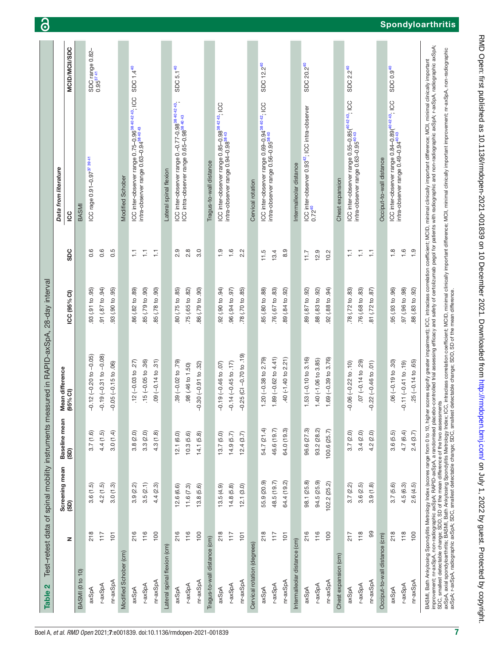<span id="page-6-0"></span>

| $\mathbf{\Omega}$<br><b>Table</b> |               |                                                                                        |               | Test-retest data of spinal mobility instruments measured in RAPID-axSpA, 28-day interval |                  |               |                                                                                                                                                                                                                                |                                          |
|-----------------------------------|---------------|----------------------------------------------------------------------------------------|---------------|------------------------------------------------------------------------------------------|------------------|---------------|--------------------------------------------------------------------------------------------------------------------------------------------------------------------------------------------------------------------------------|------------------------------------------|
|                                   |               | Screening mean                                                                         | Baseline mean | Mean difference                                                                          |                  |               | Data from literature                                                                                                                                                                                                           |                                          |
|                                   | z             | (SD)                                                                                   | (SD)          | (95% <sup>°</sup> )                                                                      | ICC (95% CI)     | SDC           | <u>cc</u>                                                                                                                                                                                                                      | MCID/MCII/SDC                            |
| BASMI (0 to 10)                   |               |                                                                                        |               |                                                                                          |                  |               | BASM                                                                                                                                                                                                                           |                                          |
| axSpA                             | 218           | 3.6(1.5)                                                                               | 3.7(1.6)      | $-0.12 (-0.20 to -0.05)$                                                                 | 93 (.91 to .95)  | 0.6           | ICC rage 0.91-0.97 <sup>37</sup> 3941                                                                                                                                                                                          | SDC range 0.82-<br>0.95 <sup>37 41</sup> |
| r-axSpA                           | 117           | 4.2(1.5)                                                                               | 4.4(1.5)      | $-0.19(-0.31 to -0.08)$                                                                  | (91 (87 to .94)) | 0.6           |                                                                                                                                                                                                                                |                                          |
| nr-axSpA                          | $\frac{1}{2}$ | 3.0(1.3)                                                                               | 3.0(1.4)      | $-0.05 (-0.15 to .06)$                                                                   | .93 (.90 to .95) | 0.5           |                                                                                                                                                                                                                                |                                          |
| Modified Schober (cm)             |               |                                                                                        |               |                                                                                          |                  |               | Modified Schober                                                                                                                                                                                                               |                                          |
| axSpA                             | 216           | 3.9(2.2)                                                                               | 3.8(2.0)      | $.12 (-0.03 to .27)$                                                                     | 86 (.82 to .89)  | Ξ             | ICC inter-observer range 0.75-0.96 <sup>38 40 42 43</sup> ; ICC                                                                                                                                                                | SDC 1.4 <sup>40</sup>                    |
| r-axSpA                           | 116           | 3.5(2.1)                                                                               | 3.3(2.0)      | $.15 (-0.05 to .36)$                                                                     | 85 (.79 to .90)  | F             | intra-observer range 0.63-0.94 <sup>384043</sup>                                                                                                                                                                               |                                          |
| nr-axSpA                          | 100           | 4.4(2.3)                                                                               | 4.3(1.8)      | $.09(-0.14 to .31)$                                                                      | 85 (.78 to .90)  | H             |                                                                                                                                                                                                                                |                                          |
| Lateral spinal flexion (cm)       |               |                                                                                        |               |                                                                                          |                  |               | Lateral spinal flexion                                                                                                                                                                                                         |                                          |
| axSpA                             | 216           | 12.6(6.6)                                                                              | 12.1(6.0)     | $.39(-0.02 to .79)$                                                                      | 80 (.75 to .85)  | 2.9           | ICC inter-observer range 0.-0.77-0.98 <sup>38 40 42 43</sup> ,                                                                                                                                                                 | SDC 5.1 <sup>40</sup>                    |
| r-axSpA                           | 116           | 11.6(7.3)                                                                              | 10.3(5.6)     | .98 (.46 to 1.50)                                                                        | .75 (.65 to .82) | 2.8           | ICC intra-observer range 0.65-0.98384043                                                                                                                                                                                       |                                          |
| nr-axSpA                          | 100           | 13.8(5.6)                                                                              | 14.1(5.8)     | $-0.30 (-0.91 to .32)$                                                                   | 06. of 67.) 98.  | 3.0           |                                                                                                                                                                                                                                |                                          |
| Tragus-to-wall distance (cm)      |               |                                                                                        |               |                                                                                          |                  |               | Tragus-to-wall distance                                                                                                                                                                                                        |                                          |
| axSpA                             | 218           | 13.5(4.9)                                                                              | 13.7(5.0)     | $-0.19(-0.46 to .07)$                                                                    | 92 (.90 to .94)  | $\frac{0}{1}$ | ICC inter-observer range 0.85-0.98 <sup>38 42 43</sup> ; ICC                                                                                                                                                                   |                                          |
| r-axSpA                           | 117           | 14.8(5.8)                                                                              | 14.9(5.7)     | $-0.14 (-0.45)$ to $.17$                                                                 | 06.04 to 97      | $\frac{6}{1}$ | intra-observer range 0.94-0.98 <sup>3843</sup>                                                                                                                                                                                 |                                          |
| nr-axSpA                          | 101           | 12.1(3.0)                                                                              | 12.4(3.7)     | $-0.25$ (CI $-0.70$ to $.19$ )                                                           | .78 (.70 to .85) | 2.2           |                                                                                                                                                                                                                                |                                          |
| Cervical rotation (degrees)       |               |                                                                                        |               |                                                                                          |                  |               | Cervical rotation                                                                                                                                                                                                              |                                          |
| axSpA                             | 218           | 55.9 (20.9)                                                                            | 54.7 (21.4)   | 1.20 $(-0.38$ to 2.79)                                                                   | .85 (.80 to .88) | 11.5          | ICC inter-observer range 0.69-0.94 <sup>38 40 42</sup> ; ICC<br>intra-observer range 0.56-0.95 <sup>38 40</sup>                                                                                                                | SDC 12.2 <sup>40</sup>                   |
| r-axSpA                           | 117           | 48.5 (19.7)                                                                            | 46.6 (19.7)   | $1.89(-0.62$ to $4.41$ )                                                                 | .76 (.67 to .83) | 13.4          |                                                                                                                                                                                                                                |                                          |
| nr-axSpA                          | $\frac{1}{2}$ | 64.4 (19.2)                                                                            | 64.0 (19.3)   | $-40$ $(-1.40$ to $2.21$ )                                                               | 89 (.84 to .92)  | 8.9           |                                                                                                                                                                                                                                |                                          |
| Intermalleolar distance (cm)      |               |                                                                                        |               |                                                                                          |                  |               | Intermalleolar distance                                                                                                                                                                                                        |                                          |
| axSpA                             | 216           | 98.1 (25.8)                                                                            | 96.6 (27.3)   | $1.53(-0.10 to 3.16)$                                                                    | 89 (.87 to .92)  | 7.11          | ICC inter-observer 0.93 <sup>42</sup> ; ICC intra-observer<br>0.72 <sup>40</sup>                                                                                                                                               | SDC 20.2 <sup>40</sup>                   |
| r-axSpA                           | 116           | 94.5 (25.9)                                                                            | 93.2 (28.2)   | $1.40(-1.06 to 3.85)$                                                                    | .88 (.83 to .92) | 12.9          |                                                                                                                                                                                                                                |                                          |
| nr-axSpA                          | 100           | 102.2(25.2)                                                                            | 100.6(25.7)   | $1.69(-0.39 to 3.76)$                                                                    | 92 (.88 to .94)  | 10.2          |                                                                                                                                                                                                                                |                                          |
| Chest expansion (cm)              |               |                                                                                        |               |                                                                                          |                  |               | Chest expansion                                                                                                                                                                                                                |                                          |
| axSpA                             | 217           | 3.7(2.2)                                                                               | 3.7(2.0)      | $-0.06 (-0.22 to .10)$                                                                   | .78 (.72 to .83) | F             | ICC inter-observer range 0.55-0.85( <sup>40,42,43</sup> ; ICC<br>intra-observer range 0.63-0.95 <sup>40,43</sup>                                                                                                               | SDC 2.2 <sup>40</sup>                    |
| r-axSpA                           | 118           | 3.6(2.5)                                                                               | 3.4(2.0)      | $.07 (-0.14 \text{ to } .29)$                                                            | .76 (.68 to .83) | 들             |                                                                                                                                                                                                                                |                                          |
| nr-axSpA                          | 8             | 3.9(1.8)                                                                               | 4.2(2.0)      | $-0.22$ $(-0.46$ to $.01)$                                                               | 81 (.72 to .87)  | H             |                                                                                                                                                                                                                                |                                          |
| Occiput-to-wall distance (cm)     |               |                                                                                        |               |                                                                                          |                  |               | Occiput-to-wall distance                                                                                                                                                                                                       |                                          |
| axSpA                             | 218           | 3.7(5.6)                                                                               | 3.6(5.5)      | $.06 (-0.19 to .30)$                                                                     | 95 (.93 to .96)  | $\frac{8}{1}$ | ICC inter-observer range 0.84-0.89( <sup>40 42 43</sup> ; ICC<br>intra-observer range 0.49-0.94 <sup>40 43</sup>                                                                                                               | SDC 0.9 <sup>40</sup>                    |
| r-axSpA                           | 118           | 4.5(6.3)                                                                               | 4.7 (6.4)     | $-0.11(-0.41$ to $.19$ )                                                                 | 97 (.96 to .98)  | 1.6           |                                                                                                                                                                                                                                |                                          |
| nr-axSpA                          | 100           | 2.6(4.5)                                                                               | 2.4(3.7)      | $25(-0.14$ to $.65)$                                                                     | 88 (.83 to .92)  | $\frac{1}{1}$ |                                                                                                                                                                                                                                |                                          |
|                                   |               | SDC, smallest detectable change; SDD, SD of the mean difference of the two assessments |               |                                                                                          |                  |               | BASMI, Bath Ankylosing Spondylitis Metrology Index (scores range from 0 to 10, 10; lot or scores signify greater impairment); ICC, intraclass correlation coefficient, MCID, minimal clinically important difference; MCII, mi |                                          |
|                                   |               |                                                                                        |               |                                                                                          |                  |               | axSpA, axial spondyloarthritis; BASMI, Bath Ankylosing Spondylitis Metrology Index; ICC, intraclass correlation coefficient; MCID, minimal clinically important difference; MCII, minimal clinically important improvement; nr |                                          |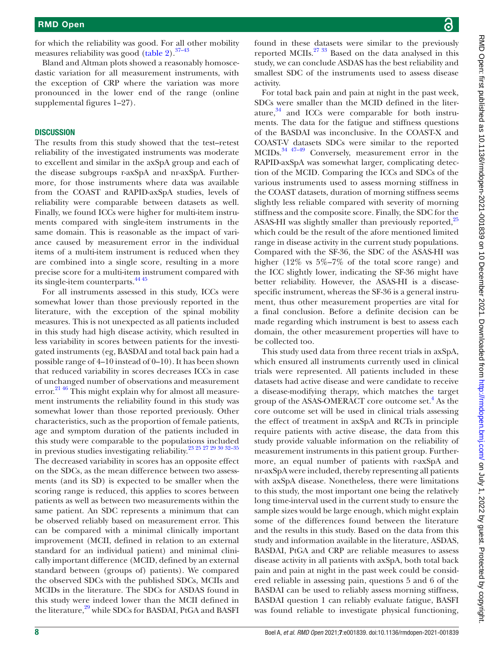for which the reliability was good. For all other mobility measures reliability was good [\(table](#page-6-0) 2).<sup>37–43</sup>

Bland and Altman plots showed a reasonably homoscedastic variation for all measurement instruments, with the exception of CRP where the variation was more pronounced in the lower end of the range [\(online](https://dx.doi.org/10.1136/rmdopen-2021-001839) [supplemental figures 1–27\)](https://dx.doi.org/10.1136/rmdopen-2021-001839).

#### **DISCUSSION**

The results from this study showed that the test–retest reliability of the investigated instruments was moderate to excellent and similar in the axSpA group and each of the disease subgroups r-axSpA and nr-axSpA. Furthermore, for those instruments where data was available from the COAST and RAPID-axSpA studies, levels of reliability were comparable between datasets as well. Finally, we found ICCs were higher for multi-item instruments compared with single-item instruments in the same domain. This is reasonable as the impact of variance caused by measurement error in the individual items of a multi-item instrument is reduced when they are combined into a single score, resulting in a more precise score for a multi-item instrument compared with its single-item counterparts.<sup>4445</sup>

For all instruments assessed in this study, ICCs were somewhat lower than those previously reported in the literature, with the exception of the spinal mobility measures. This is not unexpected as all patients included in this study had high disease activity, which resulted in less variability in scores between patients for the investigated instruments (eg, BASDAI and total back pain had a possible range of 4–10 instead of 0–10). It has been shown that reduced variability in scores decreases ICCs in case of unchanged number of observations and measurement error.<sup>21 46</sup> This might explain why for almost all measurement instruments the reliability found in this study was somewhat lower than those reported previously. Other characteristics, such as the proportion of female patients, age and symptom duration of the patients included in this study were comparable to the populations included in previous studies investigating reliability.[23 25 27 29 30 32–35](#page-9-2) The decreased variability in scores has an opposite effect

on the SDCs, as the mean difference between two assessments (and its SD) is expected to be smaller when the scoring range is reduced, this applies to scores between patients as well as between two measurements within the same patient. An SDC represents a minimum that can be observed reliably based on measurement error. This can be compared with a minimal clinically important improvement (MCII, defined in relation to an external standard for an individual patient) and minimal clinically important difference (MCID, defined by an external standard between (groups of) patients). We compared the observed SDCs with the published SDCs, MCIIs and MCIDs in the literature. The SDCs for ASDAS found in this study were indeed lower than the MCII defined in the literature,<sup>29</sup> while SDCs for BASDAI, PtGA and BASFI

found in these datasets were similar to the previously reported MCIIs.[27 33](#page-9-6) Based on the data analysed in this study, we can conclude ASDAS has the best reliability and smallest SDC of the instruments used to assess disease activity.

For total back pain and pain at night in the past week, SDCs were smaller than the MCID defined in the literature, $34$  and ICCs were comparable for both instruments. The data for the fatigue and stiffness questions of the BASDAI was inconclusive. In the COAST-X and COAST-V datasets SDCs were similar to the reported MCIDs.[34 47–49](#page-9-5) Conversely, measurement error in the RAPID-axSpA was somewhat larger, complicating detection of the MCID. Comparing the ICCs and SDCs of the various instruments used to assess morning stiffness in the COAST datasets, duration of morning stiffness seems slightly less reliable compared with severity of morning stiffness and the composite score. Finally, the SDC for the ASAS-HI was slightly smaller than previously reported,<sup>25</sup> which could be the result of the afore mentioned limited range in disease activity in the current study populations. Compared with the SF-36, the SDC of the ASAS-HI was higher (12% vs 5%–7% of the total score range) and the ICC slightly lower, indicating the SF-36 might have better reliability. However, the ASAS-HI is a diseasespecific instrument, whereas the SF-36 is a general instrument, thus other measurement properties are vital for a final conclusion. Before a definite decision can be made regarding which instrument is best to assess each domain, the other measurement properties will have to be collected too.

This study used data from three recent trials in axSpA, which ensured all instruments currently used in clinical trials were represented. All patients included in these datasets had active disease and were candidate to receive a disease-modifying therapy, which matches the target group of the ASAS-OMERACT core outcome set.<sup>4</sup> As the core outcome set will be used in clinical trials assessing the effect of treatment in axSpA and RCTs in principle require patients with active disease, the data from this study provide valuable information on the reliability of measurement instruments in this patient group. Furthermore, an equal number of patients with r-axSpA and nr-axSpA were included, thereby representing all patients with axSpA disease. Nonetheless, there were limitations to this study, the most important one being the relatively long time-interval used in the current study to ensure the sample sizes would be large enough, which might explain some of the differences found between the literature and the results in this study. Based on the data from this study and information available in the literature, ASDAS, BASDAI, PtGA and CRP are reliable measures to assess disease activity in all patients with axSpA, both total back pain and pain at night in the past week could be considered reliable in assessing pain, questions 5 and 6 of the BASDAI can be used to reliably assess morning stiffness, BASDAI question 1 can reliably evaluate fatigue, BASFI was found reliable to investigate physical functioning,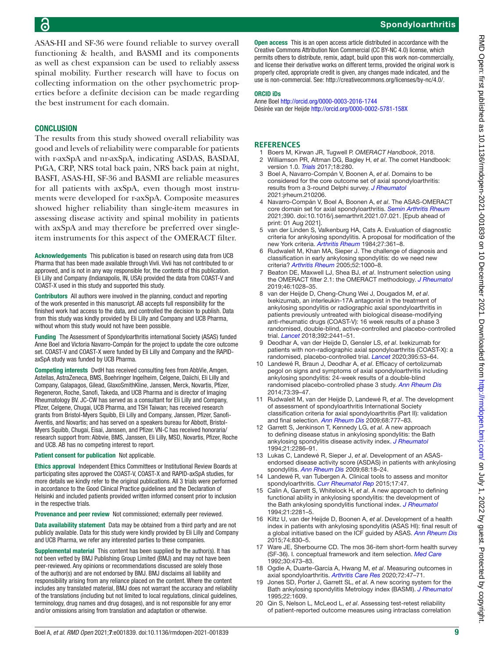ASAS-HI and SF-36 were found reliable to survey overall functioning & health, and BASMI and its components as well as chest expansion can be used to reliably assess spinal mobility. Further research will have to focus on collecting information on the other psychometric properties before a definite decision can be made regarding the best instrument for each domain.

#### **CONCLUSION**

The results from this study showed overall reliability was good and levels of reliability were comparable for patients with r-axSpA and nr-axSpA, indicating ASDAS, BASDAI, PtGA, CRP, NRS total back pain, NRS back pain at night, BASFI, ASAS-HI, SF-36 and BASMI are reliable measures for all patients with axSpA, even though most instruments were developed for r-axSpA. Composite measures showed higher reliability than single-item measures in assessing disease activity and spinal mobility in patients with axSpA and may therefore be preferred over singleitem instruments for this aspect of the OMERACT filter.

Acknowledgements This publication is based on research using data from UCB Pharma that has been made available through Vivli. Vivli has not contributed to or approved, and is not in any way responsible for, the contents of this publication. Eli Lilly and Company (Indianapolis, IN, USA) provided the data from COAST-V and COAST-X used in this study and supported this study.

Contributors All authors were involved in the planning, conduct and reporting of the work presented in this manuscript. AB accepts full responsibility for the finished work had access to the data, and controlled the decision to publish. Data from this study was kindly provided by Eli Lilly and Company and UCB Pharma, without whom this study would not have been possible.

Funding The Assessment of Spondyloarthritis international Society (ASAS) funded Anne Boel and Victoria Navarro-Compán for the project to update the core outcome set. COAST-V and COAST-X were funded by Eli Lilly and Company and the RAPIDaxSpA study was funded by UCB Pharma.

Competing interests DvdH has received consulting fees from AbbVie, Amgen, Astellas, AstraZeneca, BMS, Boehringer Ingelheim, Celgene, Daiichi, Eli Lilly and Company, Galapagos, Gilead, GlaxoSmithKline, Janssen, Merck, Novartis, Pfizer, Regeneron, Roche, Sanofi, Takeda, and UCB Pharma and is director of Imaging Rheumatology BV. JC-CW has served as a consultant for Eli Lilly and Company, Pfizer, Celgene, Chugai, UCB Pharma, and TSH Taiwan; has received research grants from Bristol-Myers Squibb, Eli Lilly and Company, Janssen, Pfizer, Sanofi-Aventis, and Novartis; and has served on a speakers bureau for Abbott, Bristol-Myers Squibb, Chugai, Eisai, Janssen, and Pfizer. VN-C has received honoraria/ research support from: Abbvie, BMS, Janssen, Eli Lilly, MSD, Novartis, Pfizer, Roche and UCB. AB has no competing interest to report.

#### Patient consent for publication Not applicable.

Ethics approval Independent Ethics Committees or Institutional Review Boards at participating sites approved the COAST-V, COAST-X and RAPID-axSpA studies, for more details we kindly refer to the original publications. All 3 trials were performed in accordance to the Good Clinical Practice guidelines and the Declaration of Helsinki and included patients provided written informed consent prior to inclusion in the respective trials.

Provenance and peer review Not commissioned; externally peer reviewed.

Data availability statement Data may be obtained from a third party and are not publicly available. Data for this study were kindly provided by Eli Lilly and Company and UCB Pharma, we refer any interested parties to these companies.

Supplemental material This content has been supplied by the author(s). It has not been vetted by BMJ Publishing Group Limited (BMJ) and may not have been peer-reviewed. Any opinions or recommendations discussed are solely those of the author(s) and are not endorsed by BMJ. BMJ disclaims all liability and responsibility arising from any reliance placed on the content. Where the content includes any translated material, BMJ does not warrant the accuracy and reliability of the translations (including but not limited to local regulations, clinical guidelines, terminology, drug names and drug dosages), and is not responsible for any error and/or omissions arising from translation and adaptation or otherwise.

Open access This is an open access article distributed in accordance with the Creative Commons Attribution Non Commercial (CC BY-NC 4.0) license, which permits others to distribute, remix, adapt, build upon this work non-commercially, and license their derivative works on different terms, provided the original work is properly cited, appropriate credit is given, any changes made indicated, and the use is non-commercial. See:<http://creativecommons.org/licenses/by-nc/4.0/>.

#### ORCID iDs

Anne Boel <http://orcid.org/0000-0003-2016-1744> Désirée van der Heijde<http://orcid.org/0000-0002-5781-158X>

#### **References**

- <span id="page-8-0"></span>1 Boers M, Kirwan JR, Tugwell P. *OMERACT Handbook*, 2018. 2 Williamson PR, Altman DG, Bagley H, *et al*. The comet Handbook:
- <span id="page-8-1"></span>version 1.0. *[Trials](http://dx.doi.org/10.1186/s13063-017-1978-4)* 2017;18:280. 3 Boel A, Navarro-Compán V, Boonen A, *et al*. Domains to be considered for the core outcome set of axial spondyloarthritis: results from a 3-round Delphi survey. *[J Rheumatol](http://dx.doi.org/10.3899/jrheum.210206)*
- <span id="page-8-5"></span>2021:jrheum.210206. 4 Navarro-Compán V, Boel A, Boonen A, *et al*. The ASAS-OMERACT core domain set for axial spondyloarthritis. *[Semin Arthritis Rheum](http://dx.doi.org/10.1016/j.semarthrit.2021.07.021)* 2021;390. doi:10.1016/j.semarthrit.2021.07.021. [Epub ahead of print: 01 Aug 2021].
- <span id="page-8-2"></span>van der Linden S, Valkenburg HA, Cats A. Evaluation of diagnostic criteria for ankylosing spondylitis. A proposal for modification of the new York criteria. *[Arthritis Rheum](http://dx.doi.org/10.1002/art.1780270401)* 1984;27:361–8.
- <span id="page-8-3"></span>6 Rudwaleit M, Khan MA, Sieper J. The challenge of diagnosis and classification in early ankylosing spondylitis: do we need new criteria? *[Arthritis Rheum](http://dx.doi.org/10.1002/art.20990)* 2005;52:1000–8.
- <span id="page-8-4"></span>7 Beaton DE, Maxwell LJ, Shea BJ, *et al*. Instrument selection using the OMERACT filter 2.1: the OMERACT methodology. *[J Rheumatol](http://dx.doi.org/10.3899/jrheum.181218)* 2019;46:1028–35.
- <span id="page-8-6"></span>8 van der Heijde D, Cheng-Chung Wei J, Dougados M, *et al*. Ixekizumab, an interleukin-17A antagonist in the treatment of ankylosing spondylitis or radiographic axial spondyloarthritis in patients previously untreated with biological disease-modifying anti-rheumatic drugs (COAST-V): 16 week results of a phase 3 randomised, double-blind, active-controlled and placebo-controlled trial. *[Lancet](http://dx.doi.org/10.1016/S0140-6736(18)31946-9)* 2018;392:2441–51.
- <span id="page-8-8"></span>9 Deodhar A, van der Heijde D, Gensler LS, *et al*. Ixekizumab for patients with non-radiographic axial spondyloarthritis (COAST-X): a randomised, placebo-controlled trial. *[Lancet](http://dx.doi.org/10.1016/S0140-6736(19)32971-X)* 2020;395:53–64.
- <span id="page-8-9"></span>10 Landewé R, Braun J, Deodhar A, *et al*. Efficacy of certolizumab pegol on signs and symptoms of axial spondyloarthritis including ankylosing spondylitis: 24-week results of a double-blind randomised placebo-controlled phase 3 study. *[Ann Rheum Dis](http://dx.doi.org/10.1136/annrheumdis-2013-204231)* 2014;73:39–47.
- <span id="page-8-7"></span>11 Rudwaleit M, van der Heijde D, Landewé R, *et al*. The development of assessment of spondyloarthritis International Society classification criteria for axial spondyloarthritis (Part II): validation and final selection. *[Ann Rheum Dis](http://dx.doi.org/10.1136/ard.2009.108233)* 2009;68:777–83.
- <span id="page-8-10"></span>12 Garrett S, Jenkinson T, Kennedy LG, *et al*. A new approach to defining disease status in ankylosing spondylitis: the Bath ankylosing spondylitis disease activity index. *[J Rheumatol](http://www.ncbi.nlm.nih.gov/pubmed/7699630)* 1994;21:2286–91.
- <span id="page-8-11"></span>13 Lukas C, Landewé R, Sieper J, *et al*. Development of an ASASendorsed disease activity score (ASDAS) in patients with ankylosing spondylitis. *[Ann Rheum Dis](http://dx.doi.org/10.1136/ard.2008.094870)* 2009;68:18–24.
- <span id="page-8-12"></span>14 Landewé R, van Tubergen A. Clinical tools to assess and monitor spondyloarthritis. *[Curr Rheumatol Rep](http://dx.doi.org/10.1007/s11926-015-0522-3)* 2015;17:47.
- <span id="page-8-13"></span>15 Calin A, Garrett S, Whitelock H, *et al*. A new approach to defining functional ability in ankylosing spondylitis: the development of the Bath ankylosing spondylitis functional index. *[J Rheumatol](http://www.ncbi.nlm.nih.gov/pubmed/7699629)* 1994;21:2281–5.
- <span id="page-8-14"></span>16 Kiltz U, van der Heijde D, Boonen A, *et al*. Development of a health index in patients with ankylosing spondylitis (ASAS HI): final result of a global initiative based on the ICF guided by ASAS. *[Ann Rheum Dis](http://dx.doi.org/10.1136/annrheumdis-2013-203967)* 2015;74:830–5.
- <span id="page-8-15"></span>17 Ware JE, Sherbourne CD. The mos 36-item short-form health survey (SF-36). I. conceptual framework and item selection. *[Med Care](http://www.ncbi.nlm.nih.gov/pubmed/1593914)* 1992;30:473–83.
- <span id="page-8-16"></span>18 Ogdie A, Duarte‐García A, Hwang M, *et al*. Measuring outcomes in axial spondyloarthritis. *[Arthritis Care Res](http://dx.doi.org/10.1002/acr.24266)* 2020;72:47–71.
- <span id="page-8-17"></span>19 Jones SD, Porter J, Garrett SL, *et al*. A new scoring system for the Bath ankylosing spondylitis Metrology index (BASMI). *[J Rheumatol](http://www.ncbi.nlm.nih.gov/pubmed/7473496)* 1995;22:1609.
- <span id="page-8-18"></span>20 Qin S, Nelson L, McLeod L, *et al*. Assessing test-retest reliability of patient-reported outcome measures using intraclass correlation